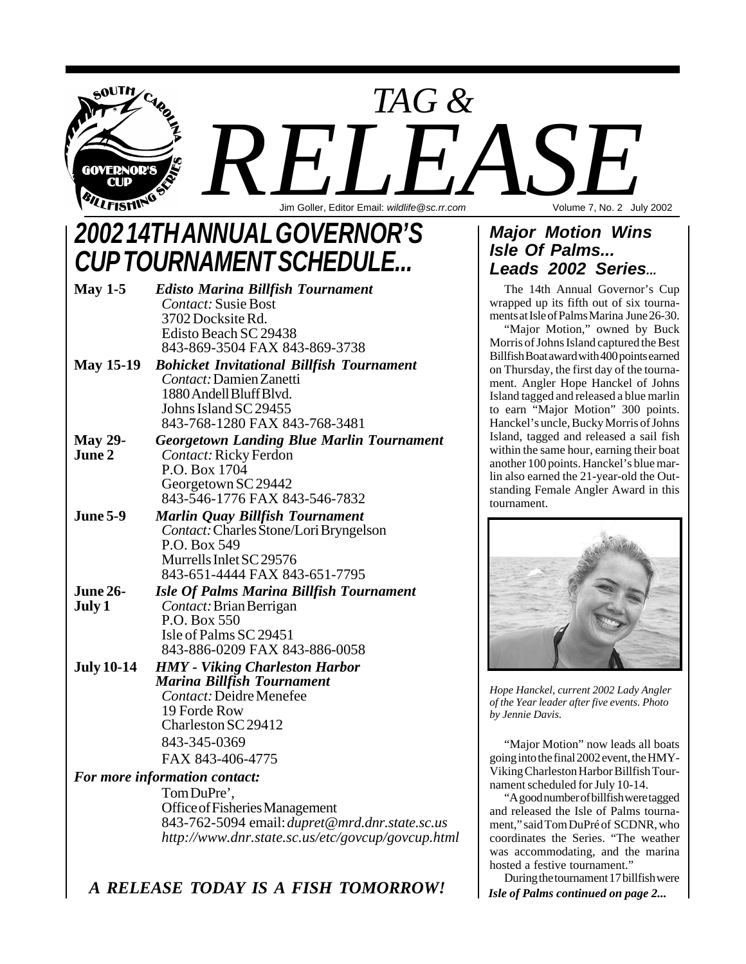

# *2002 14TH ANNUAL GOVERNOR'S CUP TOURNAMENT SCHEDULE...*

| May $1-5$         | <b>Edisto Marina Billfish Tournament</b>         |
|-------------------|--------------------------------------------------|
|                   | <b>Contact:</b> Susie Bost                       |
|                   | 3702 Docksite Rd.                                |
|                   | Edisto Beach SC 29438                            |
|                   | 843-869-3504 FAX 843-869-3738                    |
| <b>May 15-19</b>  | <b>Bohicket Invitational Billfish Tournament</b> |
|                   | Contact: Damien Zanetti                          |
|                   | 1880 Andell Bluff Blvd.                          |
|                   | Johns Island SC 29455                            |
|                   | 843-768-1280 FAX 843-768-3481                    |
| <b>May 29-</b>    | <b>Georgetown Landing Blue Marlin Tournament</b> |
| June 2            | Contact: Ricky Ferdon                            |
|                   | P.O. Box 1704                                    |
|                   | Georgetown SC 29442                              |
|                   | 843-546-1776 FAX 843-546-7832                    |
| <b>June 5-9</b>   | Marlin Quay Billfish Tournament                  |
|                   | Contact: Charles Stone/Lori Bryngelson           |
|                   | P.O. Box 549                                     |
|                   | Murrells Inlet SC 29576                          |
|                   | 843-651-4444 FAX 843-651-7795                    |
| <b>June 26-</b>   | <b>Isle Of Palms Marina Billfish Tournament</b>  |
| July 1            | <i>Contact:</i> Brian Berrigan                   |
|                   | P.O. Box 550                                     |
|                   | Isle of Palms SC 29451                           |
|                   | 843-886-0209 FAX 843-886-0058                    |
| <b>July 10-14</b> | <b>HMY</b> - Viking Charleston Harbor            |
|                   | <b>Marina Billfish Tournament</b>                |
|                   | Contact: Deidre Menefee                          |
|                   | 19 Forde Row                                     |
|                   | Charleston SC 29412                              |
|                   | 843-345-0369                                     |
|                   | FAX 843-406-4775                                 |
|                   | For more information contact:                    |
|                   | TomDuPre',                                       |

Office of Fisheries Management 843-762-5094 email: *dupret@mrd.dnr.state.sc.us http://www.dnr.state.sc.us/etc/govcup/govcup.html*

*A RELEASE TODAY IS A FISH TOMORROW!*

### *Major Motion Wins Isle Of Palms... Leads 2002 Series...*

The 14th Annual Governor's Cup wrapped up its fifth out of six tournaments at Isle of Palms Marina June 26-30.

"Major Motion," owned by Buck Morris of Johns Island captured the Best Billfish Boat award with 400 points earned on Thursday, the first day of the tournament. Angler Hope Hanckel of Johns Island tagged and released a blue marlin to earn "Major Motion" 300 points. Hanckel's uncle, Bucky Morris of Johns Island, tagged and released a sail fish within the same hour, earning their boat another 100 points. Hanckel's blue marlin also earned the 21-year-old the Outstanding Female Angler Award in this tournament.



*Hope Hanckel, current 2002 Lady Angler of the Year leader after five events. Photo by Jennie Davis.*

"Major Motion" now leads all boats going into the final 2002 event, the HMY-Viking Charleston Harbor Billfish Tournament scheduled for July 10-14.

"A good number of billfish were tagged and released the Isle of Palms tournament," said Tom DuPré of SCDNR, who coordinates the Series. "The weather was accommodating, and the marina hosted a festive tournament."

*Isle of Palms continued on page 2...* During the tournament 17 billfish were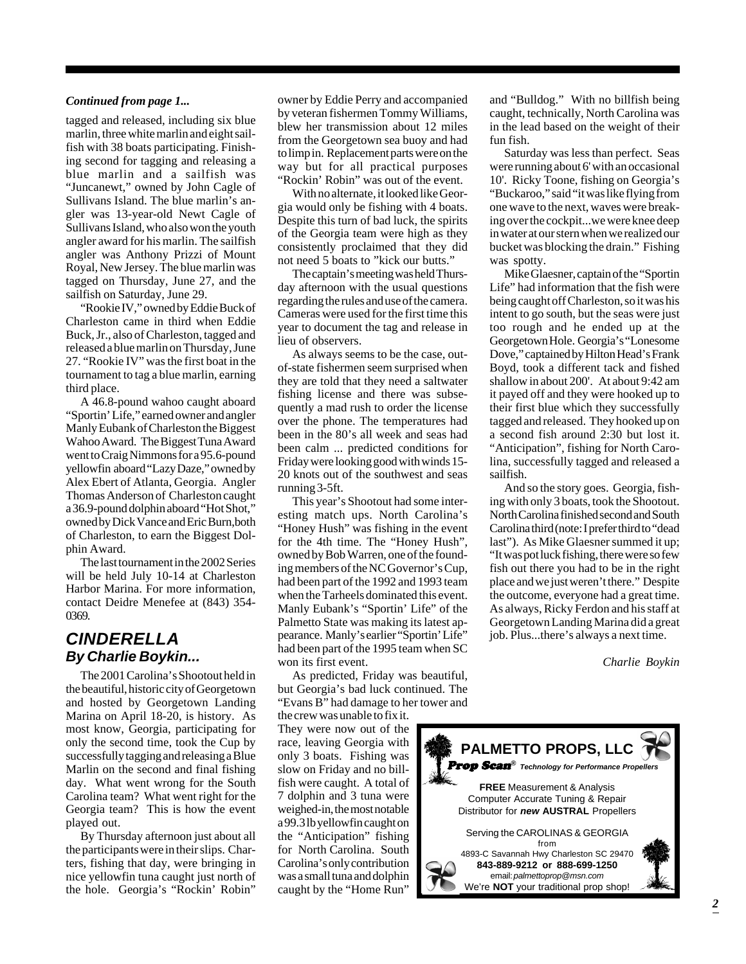#### *Continued from page 1...*

tagged and released, including six blue marlin, three white marlin and eight sailfish with 38 boats participating. Finishing second for tagging and releasing a blue marlin and a sailfish was "Juncanewt," owned by John Cagle of Sullivans Island. The blue marlin's angler was 13-year-old Newt Cagle of Sullivans Island, who also won the youth angler award for his marlin. The sailfish angler was Anthony Prizzi of Mount Royal, New Jersey. The blue marlin was tagged on Thursday, June 27, and the sailfish on Saturday, June 29.

"Rookie IV," owned by Eddie Buck of Charleston came in third when Eddie Buck, Jr., also of Charleston, tagged and released a blue marlin on Thursday, June 27. "Rookie IV" was the first boat in the tournament to tag a blue marlin, earning third place.

A 46.8-pound wahoo caught aboard "Sportin' Life," earned owner and angler Manly Eubank of Charleston the Biggest Wahoo Award. The Biggest Tuna Award went to Craig Nimmons for a 95.6-pound yellowfin aboard "Lazy Daze," owned by Alex Ebert of Atlanta, Georgia. Angler Thomas Anderson of Charleston caught a 36.9-pound dolphin aboard "Hot Shot," owned by Dick Vance and Eric Burn,both of Charleston, to earn the Biggest Dolphin Award.

The last tournament in the 2002 Series will be held July 10-14 at Charleston Harbor Marina. For more information, contact Deidre Menefee at (843) 354- 0369.

### *CINDERELLA By Charlie Boykin...*

The 2001 Carolina's Shootout held in the beautiful, historic city of Georgetown and hosted by Georgetown Landing Marina on April 18-20, is history. As most know, Georgia, participating for only the second time, took the Cup by successfully tagging and releasing a Blue Marlin on the second and final fishing day. What went wrong for the South Carolina team? What went right for the Georgia team? This is how the event played out.

By Thursday afternoon just about all the participants were in their slips. Charters, fishing that day, were bringing in nice yellowfin tuna caught just north of the hole. Georgia's "Rockin' Robin"

owner by Eddie Perry and accompanied by veteran fishermen Tommy Williams, blew her transmission about 12 miles from the Georgetown sea buoy and had to limp in. Replacement parts were on the way but for all practical purposes "Rockin' Robin" was out of the event.

With no alternate, it looked like Georgia would only be fishing with 4 boats. Despite this turn of bad luck, the spirits of the Georgia team were high as they consistently proclaimed that they did not need 5 boats to "kick our butts."

The captain's meeting was held Thursday afternoon with the usual questions regarding the rules and use of the camera. Cameras were used for the first time this year to document the tag and release in lieu of observers.

As always seems to be the case, outof-state fishermen seem surprised when they are told that they need a saltwater fishing license and there was subsequently a mad rush to order the license over the phone. The temperatures had been in the 80's all week and seas had been calm ... predicted conditions for Friday were looking good with winds 15- 20 knots out of the southwest and seas running 3-5ft.

This year's Shootout had some interesting match ups. North Carolina's "Honey Hush" was fishing in the event for the 4th time. The "Honey Hush", owned by Bob Warren, one of the founding members of the NC Governor's Cup, had been part of the 1992 and 1993 team when the Tarheels dominated this event. Manly Eubank's "Sportin' Life" of the Palmetto State was making its latest appearance. Manly's earlier "Sportin' Life" had been part of the 1995 team when SC won its first event.

As predicted, Friday was beautiful, but Georgia's bad luck continued. The "Evans B" had damage to her tower and the crew was unable to fix it.

They were now out of the race, leaving Georgia with only 3 boats. Fishing was slow on Friday and no billfish were caught. A total of 7 dolphin and 3 tuna were weighed-in, the most notable a 99.3 lb yellowfin caught on the "Anticipation" fishing for North Carolina. South Carolina's only contribution was a small tuna and dolphin caught by the "Home Run"

and "Bulldog." With no billfish being caught, technically, North Carolina was in the lead based on the weight of their fun fish.

Saturday was less than perfect. Seas were running about 6' with an occasional 10'. Ricky Toone, fishing on Georgia's "Buckaroo," said "it was like flying from one wave to the next, waves were breaking over the cockpit...we were knee deep in water at our stern when we realized our bucket was blocking the drain." Fishing was spotty.

Mike Glaesner, captain of the "Sportin Life" had information that the fish were being caught off Charleston, so it was his intent to go south, but the seas were just too rough and he ended up at the Georgetown Hole. Georgia's "Lonesome Dove," captained by Hilton Head's Frank Boyd, took a different tack and fished shallow in about 200'. At about 9:42 am it payed off and they were hooked up to their first blue which they successfully tagged and released. They hooked up on a second fish around 2:30 but lost it. "Anticipation", fishing for North Carolina, successfully tagged and released a sailfish.

And so the story goes. Georgia, fishing with only 3 boats, took the Shootout. North Carolina finished second and South Carolina third (note: I prefer third to "dead last"). As Mike Glaesner summed it up; "It was pot luck fishing, there were so few fish out there you had to be in the right place and we just weren't there." Despite the outcome, everyone had a great time. As always, Ricky Ferdon and his staff at Georgetown Landing Marina did a great job. Plus...there's always a next time.

*Charlie Boykin*

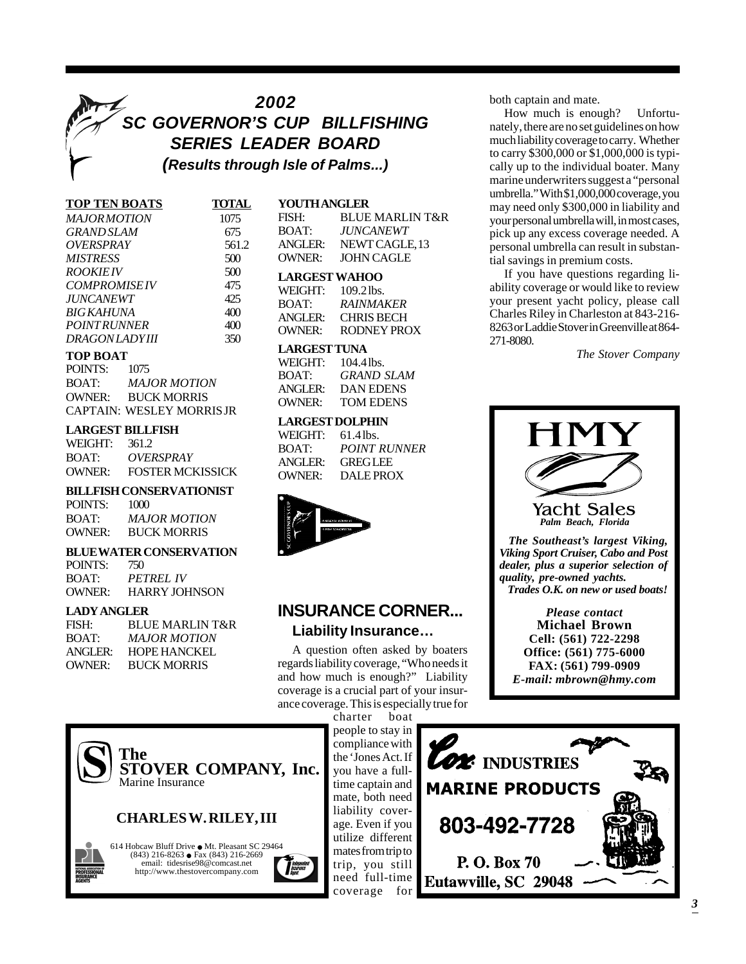## *2002 SC GOVERNOR'S CUP BILLFISHING SERIES LEADER BOARD (Results through Isle of Palms...)*

| <b>TOP TEN BOATS</b>    | <b>TOTA</b> |
|-------------------------|-------------|
| <i>MAJORMOTION</i>      | 1075        |
| <b>GRAND SLAM</b>       | 675         |
| <i>OVERSPRAY</i>        | 561         |
| MISTRESS                | 500         |
| <i>ROOKIEIV</i>         | 500         |
| <b>COMPROMISEIV</b>     | 475         |
| <i><b>JUNCANEWT</b></i> | 425         |
| BIG KAHUNA              | 400         |
| <i>POINTRUNNER</i>      | 400         |
| DRAGONLADYIII           | 350         |
|                         |             |

#### **TOP BOAT**

| POINTS: | 1075                            |
|---------|---------------------------------|
| BOAT:   | <b>MAJOR MOTION</b>             |
| OWNER:  | <b>BUCK MORRIS</b>              |
|         | <b>CAPTAIN: WESLEY MORRISJR</b> |

#### **LARGEST BILLFISH**

| WEIGHT: | 361.2                   |
|---------|-------------------------|
| BOAT:   | OVERSPRAY               |
| OWNER:  | <b>FOSTER MCKISSICK</b> |

#### **BILLFISH CONSERVATIONIST**

| POINTS:       | 1000                |
|---------------|---------------------|
| BOAT:         | <b>MAJOR MOTION</b> |
| <b>OWNER:</b> | <b>BUCK MORRIS</b>  |

### **BLUE WATER CONSERVATION**

| POINTS: | 750                  |
|---------|----------------------|
| BOAT:   | <i>PETREL IV</i>     |
| OWNER:  | <b>HARRY JOHNSON</b> |

#### **LADY ANGLER**

| FISH:<br>BOAT: | BLUE MARLIN T&R<br>MAJOR MOTION |
|----------------|---------------------------------|
| ANGLER:        | <b>HOPE HANCKEL</b>             |
| OWNER:         | <b>BUCK MORRIS</b>              |

| <b>TOTAL</b> | <b>YOUTHANGLER</b>   |                            |
|--------------|----------------------|----------------------------|
| 1075         | FISH:                | <b>BLUE MARLIN T&amp;R</b> |
| 675          | BOAT:                | <i><b>JUNCANEWT</b></i>    |
| 561.2        | <b>ANGLER:</b>       | NEWT CAGLE, 13             |
| 500          | <b>OWNER:</b>        | <b>JOHN CAGLE</b>          |
| 500          | <b>LARGEST WAHOO</b> |                            |
| 475          | WEIGHT: 109.21bs.    |                            |
| イウベ          |                      |                            |

#### BOAT: *RAINMAKER* ANGLER: CHRIS BECH OWNER: RODNEY PROX

#### **LARGEST TUNA**

| WEIGHT:           | $104.4$ lbs. |
|-------------------|--------------|
| <b>BOAT:</b>      | GRAND SLAM   |
| $\triangle NGIER$ | DAN EDENS    |
| OWNER:            | TOM EDENS    |

### **LARGEST DOLPHIN**

| WEIGHT: | 61.4 lbs.           |
|---------|---------------------|
| BOAT:   | <b>POINT RUNNER</b> |
| ANGLER: | <b>GREGLEE</b>      |
| OWNER:  | <b>DALE PROX</b>    |



## **INSURANCE CORNER... Liability Insurance…**

A question often asked by boaters regards liability coverage, "Who needs it and how much is enough?" Liability coverage is a crucial part of your insurance coverage. This is especially true for

charter boat people to stay in compliance with the 'Jones Act. If you have a fulltime captain and mate, both need liability coverage. Even if you utilize different mates from trip to trip, you still need full-time coverage for

both captain and mate.

How much is enough? Unfortunately, there are no set guidelines on how much liability coverage to carry. Whether to carry \$300,000 or \$1,000,000 is typically up to the individual boater. Many marine underwriters suggest a "personal umbrella." With \$1,000,000 coverage, you may need only \$300,000 in liability and your personal umbrella will, in most cases, pick up any excess coverage needed. A personal umbrella can result in substantial savings in premium costs.

If you have questions regarding liability coverage or would like to review your present yacht policy, please call Charles Riley in Charleston at 843-216- 8263 or Laddie Stover in Greenville at 864- 271-8080.

*The Stover Company*







614 Hobcaw Bluff Drive  $\bullet$  Mt. Pleasant SC 29464 (843) 216-8263 · Fax (843) 216-2669 email: tidesrise98@comcast.net http://www.thestovercompany.com

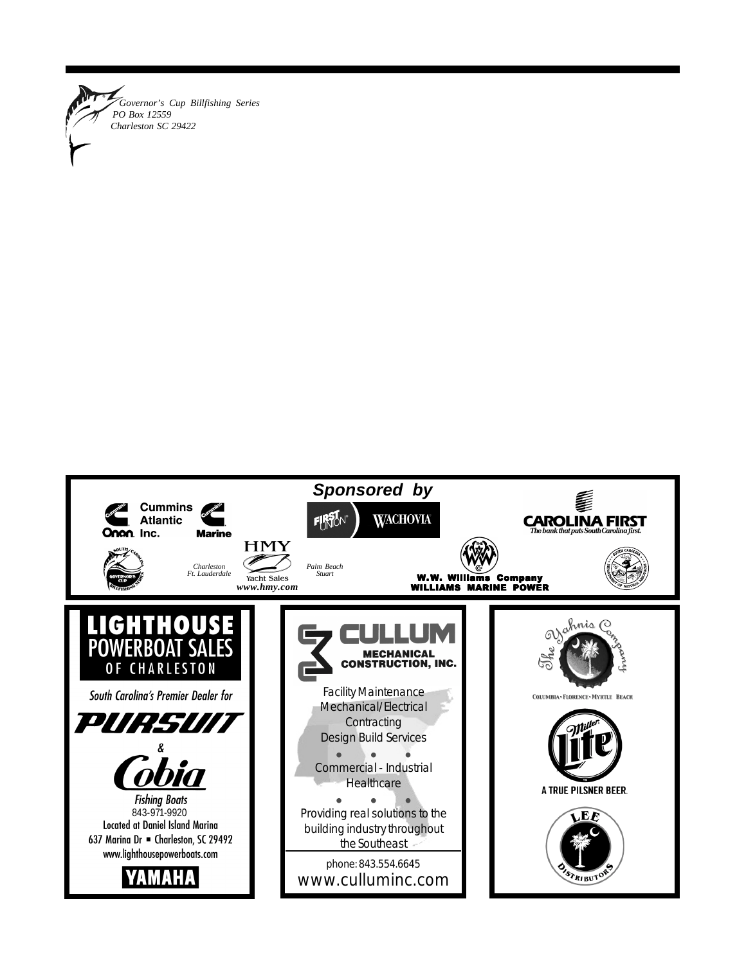

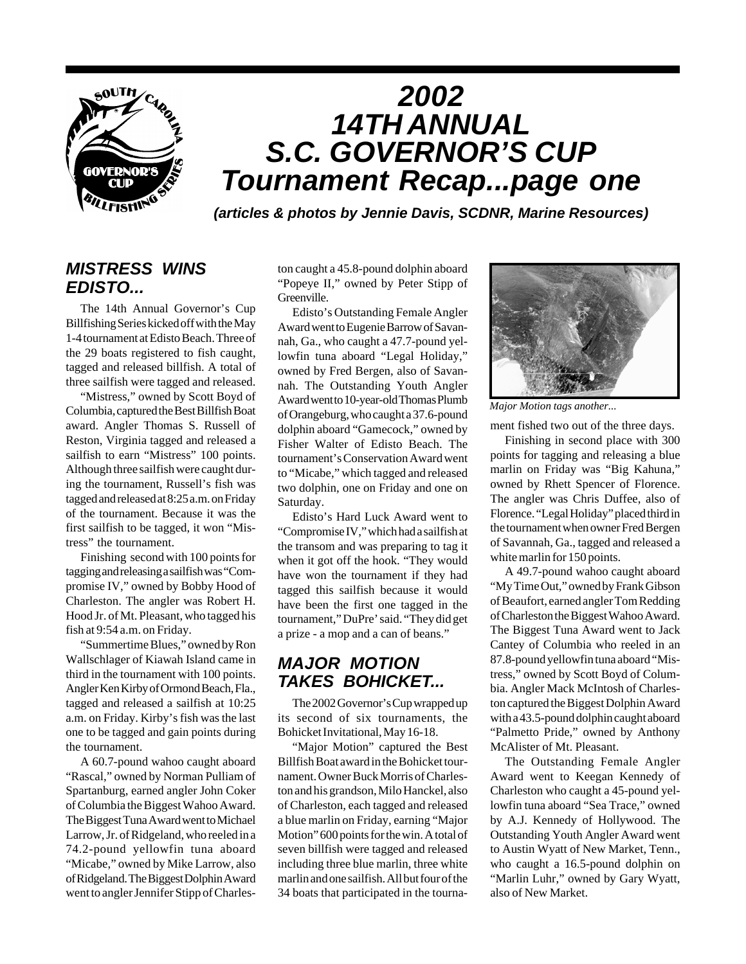

### *MISTRESS WINS EDISTO...*

The 14th Annual Governor's Cup Billfishing Series kicked off with the May 1-4 tournament at Edisto Beach. Three of the 29 boats registered to fish caught, tagged and released billfish. A total of three sailfish were tagged and released.

"Mistress," owned by Scott Boyd of Columbia, captured the Best Billfish Boat award. Angler Thomas S. Russell of Reston, Virginia tagged and released a sailfish to earn "Mistress" 100 points. Although three sailfish were caught during the tournament, Russell's fish was tagged and released at 8:25 a.m. on Friday of the tournament. Because it was the first sailfish to be tagged, it won "Mistress" the tournament.

Finishing second with 100 points for tagging and releasing a sailfish was "Compromise IV," owned by Bobby Hood of Charleston. The angler was Robert H. Hood Jr. of Mt. Pleasant, who tagged his fish at 9:54 a.m. on Friday.

"Summertime Blues," owned by Ron Wallschlager of Kiawah Island came in third in the tournament with 100 points. Angler Ken Kirby of Ormond Beach, Fla., tagged and released a sailfish at 10:25 a.m. on Friday. Kirby's fish was the last one to be tagged and gain points during the tournament.

A 60.7-pound wahoo caught aboard "Rascal," owned by Norman Pulliam of Spartanburg, earned angler John Coker of Columbia the Biggest Wahoo Award. The Biggest Tuna Award went to Michael Larrow, Jr. of Ridgeland, who reeled in a 74.2-pound yellowfin tuna aboard "Micabe," owned by Mike Larrow, also of Ridgeland. The Biggest Dolphin Award went to angler Jennifer Stipp of Charleston caught a 45.8-pound dolphin aboard "Popeye II," owned by Peter Stipp of Greenville.

Edisto's Outstanding Female Angler Award went to Eugenie Barrow of Savannah, Ga., who caught a 47.7-pound yellowfin tuna aboard "Legal Holiday," owned by Fred Bergen, also of Savannah. The Outstanding Youth Angler Award went to 10-year-old Thomas Plumb of Orangeburg, who caught a 37.6-pound dolphin aboard "Gamecock," owned by Fisher Walter of Edisto Beach. The tournament's Conservation Award went to "Micabe," which tagged and released two dolphin, one on Friday and one on Saturday.

Edisto's Hard Luck Award went to "Compromise IV," which had a sailfish at the transom and was preparing to tag it when it got off the hook. "They would have won the tournament if they had tagged this sailfish because it would have been the first one tagged in the tournament," DuPre' said. "They did get a prize - a mop and a can of beans."

### *MAJOR MOTION TAKES BOHICKET...*

The 2002 Governor's Cup wrapped up its second of six tournaments, the Bohicket Invitational, May 16-18.

"Major Motion" captured the Best Billfish Boat award in the Bohicket tournament. Owner Buck Morris of Charleston and his grandson, Milo Hanckel, also of Charleston, each tagged and released a blue marlin on Friday, earning "Major Motion" 600 points for the win. A total of seven billfish were tagged and released including three blue marlin, three white marlin and one sailfish. All but four of the 34 boats that participated in the tourna-



*Major Motion tags another...*

ment fished two out of the three days.

Finishing in second place with 300 points for tagging and releasing a blue marlin on Friday was "Big Kahuna," owned by Rhett Spencer of Florence. The angler was Chris Duffee, also of Florence. "Legal Holiday" placed third in the tournament when owner Fred Bergen of Savannah, Ga., tagged and released a white marlin for 150 points.

A 49.7-pound wahoo caught aboard "My Time Out," owned by Frank Gibson of Beaufort, earned angler Tom Redding of Charleston the Biggest Wahoo Award. The Biggest Tuna Award went to Jack Cantey of Columbia who reeled in an 87.8-pound yellowfin tuna aboard "Mistress," owned by Scott Boyd of Columbia. Angler Mack McIntosh of Charleston captured the Biggest Dolphin Award with a 43.5-pound dolphin caught aboard "Palmetto Pride," owned by Anthony McAlister of Mt. Pleasant.

The Outstanding Female Angler Award went to Keegan Kennedy of Charleston who caught a 45-pound yellowfin tuna aboard "Sea Trace," owned by A.J. Kennedy of Hollywood. The Outstanding Youth Angler Award went to Austin Wyatt of New Market, Tenn., who caught a 16.5-pound dolphin on "Marlin Luhr," owned by Gary Wyatt, also of New Market.